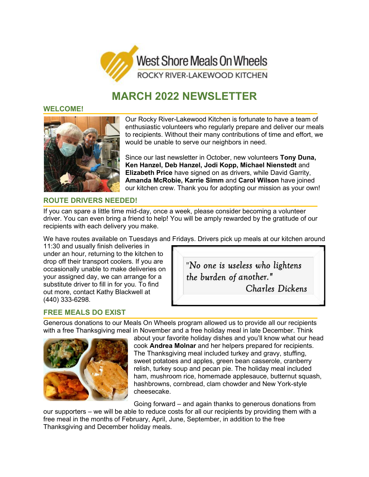

# **MARCH 2022 NEWSLETTER**

#### **WELCOME!**



Our Rocky River-Lakewood Kitchen is fortunate to have a team of enthusiastic volunteers who regularly prepare and deliver our meals to recipients. Without their many contributions of time and effort, we would be unable to serve our neighbors in need.

Since our last newsletter in October, new volunteers **Tony Duna, Ken Hanzel, Deb Hanzel, Jodi Kopp, Michael Nienstedt** and **Elizabeth Price** have signed on as drivers, while David Garrity, **Amanda McRobie, Karrie Simm** and **Carol Wilson** have joined our kitchen crew. Thank you for adopting our mission as your own!

## **ROUTE DRIVERS NEEDED!**

If you can spare a little time mid-day, once a week, please consider becoming a volunteer driver. You can even bring a friend to help! You will be amply rewarded by the gratitude of our recipients with each delivery you make.

We have routes available on Tuesdays and Fridays. Drivers pick up meals at our kitchen around

11:30 and usually finish deliveries in under an hour, returning to the kitchen to drop off their transport coolers. If you are occasionally unable to make deliveries on your assigned day, we can arrange for a substitute driver to fill in for you. To find out more, contact Kathy Blackwell at (440) 333-6298.



## **FREE MEALS DO EXIST**

Generous donations to our Meals On Wheels program allowed us to provide all our recipients with a free Thanksgiving meal in November and a free holiday meal in late December. Think



about your favorite holiday dishes and you'll know what our head cook **Andrea Molnar** and her helpers prepared for recipients. The Thanksgiving meal included turkey and gravy, stuffing, sweet potatoes and apples, green bean casserole, cranberry relish, turkey soup and pecan pie. The holiday meal included ham, mushroom rice, homemade applesauce, butternut squash, hashbrowns, cornbread, clam chowder and New York-style cheesecake.

Going forward – and again thanks to generous donations from

our supporters – we will be able to reduce costs for all our recipients by providing them with a free meal in the months of February, April, June, September, in addition to the free Thanksgiving and December holiday meals.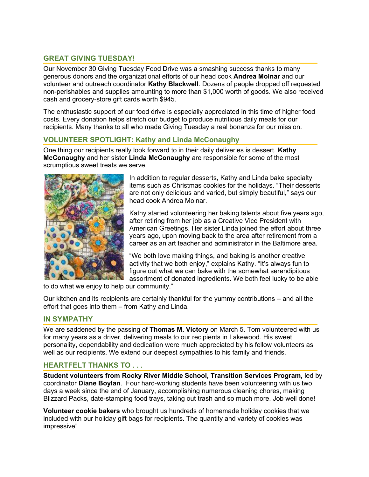## **GREAT GIVING TUESDAY!**

Our November 30 Giving Tuesday Food Drive was a smashing success thanks to many generous donors and the organizational efforts of our head cook **Andrea Molnar** and our volunteer and outreach coordinator **Kathy Blackwell**. Dozens of people dropped off requested non-perishables and supplies amounting to more than \$1,000 worth of goods. We also received cash and grocery-store gift cards worth \$945.

The enthusiastic support of our food drive is especially appreciated in this time of higher food costs. Every donation helps stretch our budget to produce nutritious daily meals for our recipients. Many thanks to all who made Giving Tuesday a real bonanza for our mission.

## **VOLUNTEER SPOTLIGHT: Kathy and Linda McConaughy**

One thing our recipients really look forward to in their daily deliveries is dessert. **Kathy McConaughy** and her sister **Linda McConaughy** are responsible for some of the most scrumptious sweet treats we serve.



In addition to regular desserts, Kathy and Linda bake specialty items such as Christmas cookies for the holidays. "Their desserts are not only delicious and varied, but simply beautiful," says our head cook Andrea Molnar.

Kathy started volunteering her baking talents about five years ago, after retiring from her job as a Creative Vice President with American Greetings. Her sister Linda joined the effort about three years ago, upon moving back to the area after retirement from a career as an art teacher and administrator in the Baltimore area.

"We both love making things, and baking is another creative activity that we both enjoy," explains Kathy. "It's always fun to figure out what we can bake with the somewhat serendipitous assortment of donated ingredients. We both feel lucky to be able

to do what we enjoy to help our community."

Our kitchen and its recipients are certainly thankful for the yummy contributions – and all the effort that goes into them – from Kathy and Linda.

#### **IN SYMPATHY**

We are saddened by the passing of **Thomas M. Victory** on March 5. Tom volunteered with us for many years as a driver, delivering meals to our recipients in Lakewood. His sweet personality, dependability and dedication were much appreciated by his fellow volunteers as well as our recipients. We extend our deepest sympathies to his family and friends.

#### **HEARTFELT THANKS TO . . .**

**Student volunteers from Rocky River Middle School, Transition Services Program,** led by coordinator **Diane Boylan**. Four hard-working students have been volunteering with us two days a week since the end of January, accomplishing numerous cleaning chores, making Blizzard Packs, date-stamping food trays, taking out trash and so much more. Job well done!

**Volunteer cookie bakers** who brought us hundreds of homemade holiday cookies that we included with our holiday gift bags for recipients. The quantity and variety of cookies was impressive!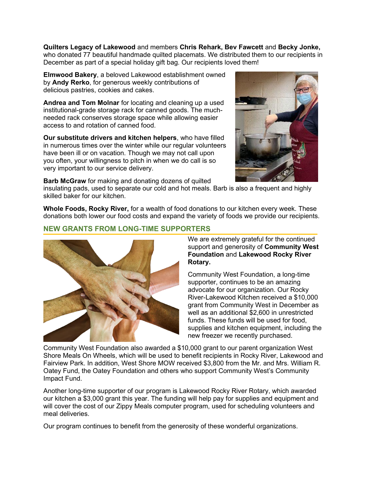**Quilters Legacy of Lakewood** and members **Chris Rehark, Bev Fawcett** and **Becky Jonke,** who donated 77 beautiful handmade quilted placemats. We distributed them to our recipients in December as part of a special holiday gift bag. Our recipients loved them!

**Elmwood Bakery**, a beloved Lakewood establishment owned by **Andy Rerko**, for generous weekly contributions of delicious pastries, cookies and cakes.

**Andrea and Tom Molnar** for locating and cleaning up a used institutional-grade storage rack for canned goods. The muchneeded rack conserves storage space while allowing easier access to and rotation of canned food.

**Our substitute drivers and kitchen helpers**, who have filled in numerous times over the winter while our regular volunteers have been ill or on vacation. Though we may not call upon you often, your willingness to pitch in when we do call is so very important to our service delivery.

**Barb McGraw** for making and donating dozens of quilted

insulating pads, used to separate our cold and hot meals. Barb is also a frequent and highly skilled baker for our kitchen.

**Whole Foods, Rocky River,** for a wealth of food donations to our kitchen every week. These donations both lower our food costs and expand the variety of foods we provide our recipients.

### **NEW GRANTS FROM LONG-TIME SUPPORTERS**



#### We are extremely grateful for the continued support and generosity of **Community West Foundation** and **Lakewood Rocky River Rotary.**

Community West Foundation, a long-time supporter, continues to be an amazing advocate for our organization. Our Rocky River-Lakewood Kitchen received a \$10,000 grant from Community West in December as well as an additional \$2,600 in unrestricted funds. These funds will be used for food, supplies and kitchen equipment, including the new freezer we recently purchased.

Community West Foundation also awarded a \$10,000 grant to our parent organization West Shore Meals On Wheels, which will be used to benefit recipients in Rocky River, Lakewood and Fairview Park. In addition, West Shore MOW received \$3,800 from the Mr. and Mrs. William R. Oatey Fund, the Oatey Foundation and others who support Community West's Community Impact Fund.

Another long-time supporter of our program is Lakewood Rocky River Rotary, which awarded our kitchen a \$3,000 grant this year. The funding will help pay for supplies and equipment and will cover the cost of our Zippy Meals computer program, used for scheduling volunteers and meal deliveries.

Our program continues to benefit from the generosity of these wonderful organizations.